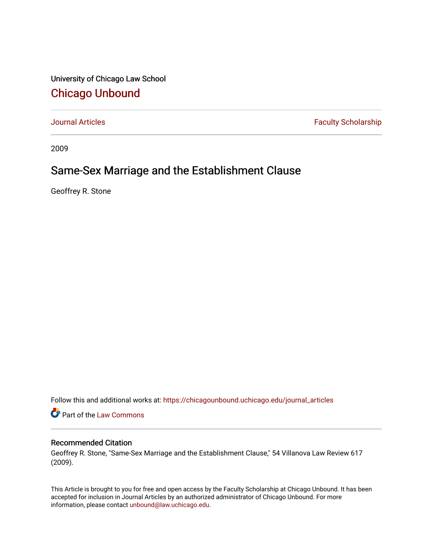University of Chicago Law School [Chicago Unbound](https://chicagounbound.uchicago.edu/)

[Journal Articles](https://chicagounbound.uchicago.edu/journal_articles) **Faculty Scholarship Faculty Scholarship** 

2009

# Same-Sex Marriage and the Establishment Clause

Geoffrey R. Stone

Follow this and additional works at: [https://chicagounbound.uchicago.edu/journal\\_articles](https://chicagounbound.uchicago.edu/journal_articles?utm_source=chicagounbound.uchicago.edu%2Fjournal_articles%2F1967&utm_medium=PDF&utm_campaign=PDFCoverPages) 

Part of the [Law Commons](http://network.bepress.com/hgg/discipline/578?utm_source=chicagounbound.uchicago.edu%2Fjournal_articles%2F1967&utm_medium=PDF&utm_campaign=PDFCoverPages)

# Recommended Citation

Geoffrey R. Stone, "Same-Sex Marriage and the Establishment Clause," 54 Villanova Law Review 617 (2009).

This Article is brought to you for free and open access by the Faculty Scholarship at Chicago Unbound. It has been accepted for inclusion in Journal Articles by an authorized administrator of Chicago Unbound. For more information, please contact [unbound@law.uchicago.edu](mailto:unbound@law.uchicago.edu).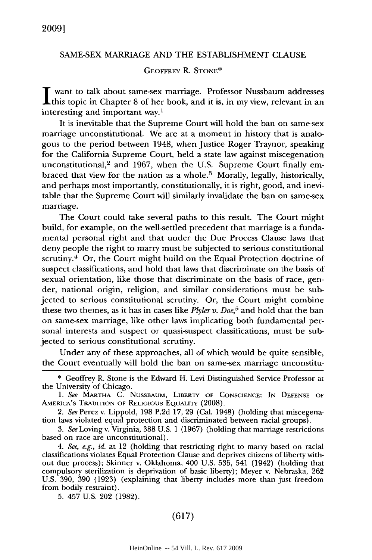#### SAME-SEX MARRIAGE AND THE ESTABLISHMENT CLAUSE

### GEOFFREY R. **STONE\***

**I** want to talk about same-sex marriage. Professor Nussbaum addresses this topic in Chapter 8 of her book, and it is, in my view, relevant in an interesting and important way.1

It is inevitable that the Supreme Court will hold the ban on same-sex marriage unconstitutional. We are at a moment in history that is analogous to the period between 1948, when Justice Roger Traynor, speaking for the California Supreme Court, held a state law against miscegenation unconstitutional, $2$  and 1967, when the U.S. Supreme Court finally embraced that view for the nation as a whole. $3$  Morally, legally, historically, and perhaps most importantly, constitutionally, it is right, good, and inevitable that the Supreme Court will similarly invalidate the ban on same-sex marriage.

The Court could take several paths to this result. The Court might build, for example, on the well-settled precedent that marriage is a fundamental personal right and that under the Due Process Clause laws that deny people the right to marry must be subjected to serious constitutional scrutiny.<sup>4</sup> Or, the Court might build on the Equal Protection doctrine of suspect classifications, and hold that laws that discriminate on the basis of sexual orientation, like those that discriminate on the basis of race, gender, national origin, religion, and similar considerations must be subjected to serious constitutional scrutiny. Or, the Court might combine these two themes, as it has in cases like *Plyler v. Doe,5* and hold that the ban on same-sex marriage, like other laws implicating both fundamental personal interests and suspect or quasi-suspect classifications, must be subjected to serious constitutional scrutiny.

Under any of these approaches, all of which would be quite sensible, the Court eventually will hold the ban on same-sex marriage unconstitu-

5. 457 U.S. 202 (1982).

## (617)

<sup>\*</sup> Geoffrey R. Stone is the Edward H. Levi Distinguished Service Professor at the University of Chicago.

*<sup>1.</sup> See* MARTHA C. NUSSBAUM, LIBERTY OF CONSCIENCE: IN DEFENSE OF AMERICA'S TRADITION OF RELIGIOUs EQUALITY (2008).

*<sup>2.</sup> See* Perez v. Lippold, 198 P.2d 17, 29 (Cal. 1948) (holding that miscegenation laws violated equal protection and discriminated between racial groups).

*<sup>3.</sup> See* Loving v. Virginia, 388 U.S. 1 (1967) (holding that marriage restrictions based on race are unconstitutional).

*<sup>4.</sup> See, e.g., id.* at 12 (holding that restricting right to marry based on racial classifications violates Equal Protection Clause and deprives citizens of liberty without due process); Skinner v. Oklahoma, 400 U.S. 535, 541 (1942) (holding that compulsory sterilization is deprivation of basic liberty); Meyer v. Nebraska, 262 U.S. 390, 390 (1923) (explaining that liberty includes more than just freedom from bodily restraint).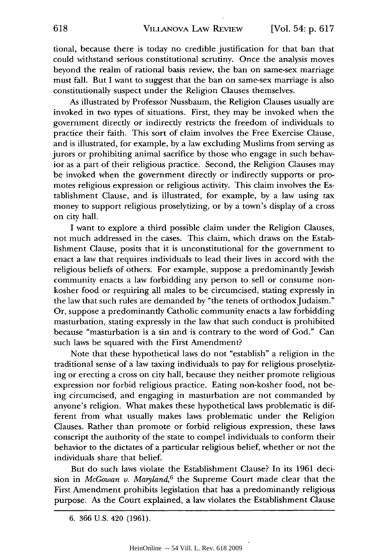tional, because there is today no credible justification for that ban that could withstand serious constitutional scrutiny. Once the analysis moves beyond the realm of rational basis review, the ban on same-sex marriage must fall. But I want to suggest that the ban on same-sex marriage is also constitutionally suspect under the Religion Clauses themselves.

As illustrated by Professor Nussbaum, the Religion Clauses usually are invoked in two types of situations. First, they may be invoked when the government directly or indirectly restricts the freedom of individuals to practice their faith. This sort of claim involves the Free Exercise Clause, and is illustrated, for example, by a law excluding Muslims from serving as jurors or prohibiting animal sacrifice by those who engage in such behavior as a part of their religious practice. Second, the Religion Clauses may be invoked when the government directly or indirectly supports or promotes religious expression or religious activity. This claim involves the Establishment Clause, and is illustrated, for example, by a law using tax money to support religious proselytizing, or by a town's display of a cross on city hall.

I want to explore a third possible claim under the Religion Clauses, not much addressed in the cases. This claim, which draws on the Establishment Clause, posits that it is unconstitutional for the government to enact a law that requires individuals to lead their lives in accord with the religious beliefs of others. For example, suppose a predominantly Jewish community enacts a law forbidding any person to sell or consume nonkosher food or requiring all males to be circumcised, stating expressly in the law that such rules are demanded by "the tenets of orthodox Judaism." Or, suppose a predominantly Catholic community enacts a law forbidding masturbation, stating expressly in the law that such conduct is prohibited because "masturbation is a sin and is contrary to the word of God." Can such laws be squared with the First Amendment?

Note that these hypothetical laws do not "establish" a religion in the traditional sense of a law taxing individuals to pay for religious proselytizing or erecting a cross on city hall, because they neither promote religious expression nor forbid religious practice. Eating non-kosher food, not being circumcised, and engaging in masturbation are not commanded by anyone's religion. What makes these hypothetical laws problematic is different from what usually makes laws problematic under the Religion Clauses. Rather than promote or forbid religious expression, these laws conscript the authority of the state to compel individuals to conform their behavior to the dictates of a particular religious belief, whether or not the individuals share that belief.

But do such laws violate the Establishment Clause? In its 1961 decision in *McGowan v. Maryland,6* the Supreme Court made clear that the First Amendment prohibits legislation that has a predominantly religious purpose. As the Court explained, a law violates the Establishment Clause

<sup>6. 366</sup> U.S. 420 (1961).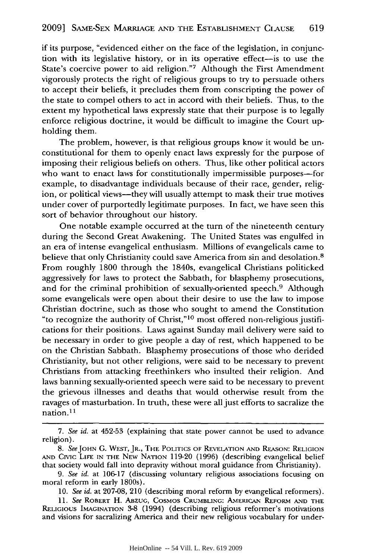if its purpose, "evidenced either on the face of the legislation, in conjunction with its legislative history, or in its operative effect-is to use the State's coercive power to aid religion."7 Although the First Amendment vigorously protects the right of religious groups to try to persuade others to accept their beliefs, it precludes them from conscripting the power of the state to compel others to act in accord with their beliefs. Thus, to the extent my hypothetical laws expressly state that their purpose is to legally enforce religious doctrine, it would be difficult to imagine the Court upholding them.

The problem, however, is that religious groups know it would be unconstitutional for them to openly enact laws expressly for the purpose of imposing their religious beliefs on others. Thus, like other political actors who want to enact laws for constitutionally impermissible purposes-for example, to disadvantage individuals because of their race, gender, religion, or political views—they will usually attempt to mask their true motives under cover of purportedly legitimate purposes. In fact, we have seen this sort of behavior throughout our history.

One notable example occurred at the turn of the nineteenth century during the Second Great Awakening. The United States was engulfed in an era of intense evangelical enthusiasm. Millions of evangelicals came to believe that only Christianity could save America from sin and desolation.<sup>8</sup> From roughly 1800 through the 1840s, evangelical Christians politicked aggressively for laws to protect the Sabbath, for blasphemy prosecutions, and for the criminal prohibition of sexually-oriented speech.<sup>9</sup> Although some evangelicals were open about their desire to use the law to impose Christian doctrine, such as those who sought to amend the Constitution "to recognize the authority of Christ,"10 most offered non-religious justifications for their positions. Laws against Sunday mail delivery were said to be necessary in order to give people a day of rest, which happened to be on the Christian Sabbath. Blasphemy prosecutions of those who derided Christianity, but not other religions, were said to be necessary to prevent Christians from attacking freethinkers who insulted their religion. And laws banning sexually-oriented speech were said to be necessary to prevent the grievous illnesses and deaths that would otherwise result from the ravages of masturbation. In truth, these were all just efforts to sacralize the nation.<sup>11</sup>

<sup>7.</sup> *See id.* at 452-53 (explaining that state power cannot be used to advance religion).

*<sup>8.</sup> SeeJOHN* **G.** WEST, JR., THE POLITICS OF REVELATION **AND** REASON: RELIGION **AND** Civic LiFE **IN** THE NEW NATION 119-20 (1996) (describing evangelical belief that society would fall into depravity without moral guidance from Christianity).

*<sup>9.</sup> See id.* at 106-17 (discussing voluntary religious associations focusing on moral reform in early 1800s).

<sup>10.</sup> *See id.* at 207-08, 210 (describing moral reform by evangelical reformers).

<sup>11.</sup> *See* ROBERT H. **ABZUG,** COSMOS **CRUMBLING: AMERICAN REFORM AND THE RELIGIOUS** IMAGINATION **3-8** (1994) (describing religious reformer's motivations and visions for sacralizing America and their new religious vocabulary for under-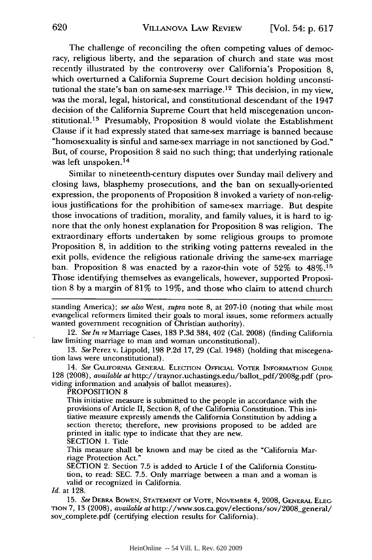The challenge of reconciling the often competing values of democracy, religious liberty, and the separation of church and state was most recently illustrated by the controversy over California's Proposition 8, which overturned a California Supreme Court decision holding unconstitutional the state's ban on same-sex marriage. 12 This decision, in my view, was the moral, legal, historical, and constitutional descendant of the 1947 decision of the California Supreme Court that held miscegenation unconstitutional.<sup>13</sup> Presumably, Proposition 8 would violate the Establishment Clause if it had expressly stated that same-sex marriage is banned because "homosexuality is sinful and same-sex marriage in not sanctioned by God." But, of course, Proposition 8 said no such thing; that underlying rationale was left unspoken.<sup>14</sup>

Similar to nineteenth-century disputes over Sunday mail delivery and closing laws, blasphemy prosecutions, and the ban on sexually-oriented expression, the proponents of Proposition 8 invoked a variety of non-religious justifications for the prohibition of same-sex marriage. But despite those invocations of tradition, morality, and family values, it is hard to ignore that the only honest explanation for Proposition 8 was religion. The extraordinary efforts undertaken by some religious groups to promote Proposition 8, in addition to the striking voting patterns revealed in the exit polls, evidence the religious rationale driving the same-sex marriage ban. Proposition 8 was enacted by a razor-thin vote of 52% to 48%.<sup>15</sup> Those identifying themselves as evangelicals, however, supported Proposition 8 by a margin of 81% to 19%, and those who claim to attend church

standing America); *see also* West, *supra* note 8, at 207-jo (noting that while most evangelical reformers limited their goals to moral issues, some reformers actually wanted government recognition of Christian authority).

12. *See In* reMarriage Cases, 183 P.3d 384, 402 (Cal. 2008) (finding California law limiting marriage to man and woman unconstitutional).

13. *See* Perez v. Lippold, 198 P.2d 17, 29 (Cal. 1948) (holding that miscegenation laws were unconstitutional).

14. *See* **CALIFORNIA** GENERAL ELECTION **OFFICIAL** VOTER INFORMATION GUIDE 128 (2008), *available at* http://traynor.uchastings.edu/ballot-pdf/2008g.pdf (providing information and analysis of ballot measures).

PROPOSITION 8

This initiative measure is submitted to the people in accordance with the provisions of Article II, Section 8, of the California Constitution. This initiative measure expressly amends the California Constitution by adding a section thereto; therefore, new provisions proposed to be added are printed in italic type to indicate that they are new. SECTION 1. Title

This measure shall be known and may be cited as the "California Marriage Protection Act."

SECTION 2. Section 7.5 is added to Article I of the California Constitution, to read: SEC. 7.5. Only marriage between a man and a woman is valid or recognized in California.

*Id.* at 128.

**15.** *See* DEBRA BOWEN, STATEMENT OF VOTE, NOVEMBER 4, **2008,** GENERAL **ELEG TION** 7, 13 (2008), *available at* http://www.sos.ca.gov/elections/sov/2008-general/ sov.complete.pdf (certifying election results for California).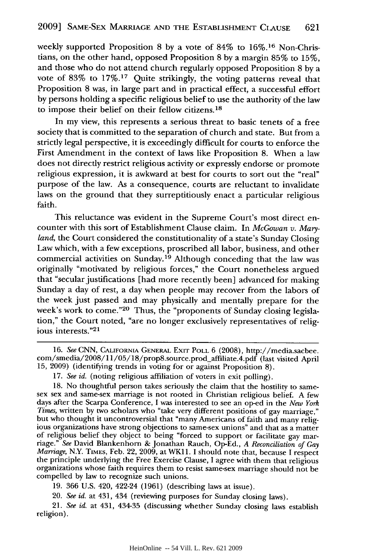weekly supported Proposition 8 by a vote of  $84\%$  to  $16\%$ .<sup>16</sup> Non-Christians, on the other hand, opposed Proposition 8 by a margin 85% to 15%, and those who do not attend church regularly opposed Proposition 8 by a vote of 83% to 17%.17 Quite strikingly, the voting patterns reveal that Proposition 8 was, in large part and in practical effect, a successful effort by persons holding a specific religious belief to use the authority of the law to impose their belief on their fellow citizens.<sup>18</sup>

In my view, this represents a serious threat to basic tenets of a free society that is committed to the separation of church and state. But from a strictly legal perspective, it is exceedingly difficult for courts to enforce the First Amendment in the context of laws like Proposition 8. When a law does not directly restrict religious activity or expressly endorse or promote religious expression, it is awkward at best for courts to sort out the "real" purpose of the law. As a consequence, courts are reluctant to invalidate laws on the ground that they surreptitiously enact a particular religious faith.

This reluctance was evident in the Supreme Court's most direct encounter with this sort of Establishment Clause claim. In *McGowan v. Maryland,* the Court considered the constitutionality of a state's Sunday Closing Law which, with a few exceptions, proscribed all labor, business, and other commercial activities on Sunday.19 Although conceding that the law was originally "motivated by religious forces," the Court nonetheless argued that "secular justifications [had more recently been] advanced for making Sunday a day of rest, a day when people may recover from the labors of the week just passed and may physically and mentally prepare for the week's work to come."<sup>20</sup> Thus, the "proponents of Sunday closing legislation," the Court noted, "are no longer exclusively representatives of religious interests."<sup>21</sup>

19. 366 U.S. 420, 422-24 (1961) (describing laws at issue).

20. *See id.* at 431, 434 (reviewing purposes for Sunday closing laws).

21. *See id.* at 431, 434-35 (discussing whether Sunday closing laws establish religion).

<sup>16.</sup> *See* **CNN,** CALIFORNIA **GENERAL** EXIT POLL 6 (2008), http://media.sacbee. com/smedia/2008/11/05/18/prop8.source.prod\_affiliate.4.pdf (last visited April 15, 2009) (identifying trends in voting for or against Proposition 8).

<sup>17.</sup> *See id.* (noting religious affiliation of voters in exit polling).

<sup>18.</sup> No thoughtful person takes seriously the claim that the hostility to same-sex sex and same-sex marriage is not rooted in Christian religious belief. A few days after the Scarpa Conference, I was interested to see an op-ed in the *New York Times,* written by two scholars who "take very different positions of gay marriage," but who thought it uncontroversial that "many Americans of faith and many religious organizations have strong objections to same-sex unions" and that as a matter of religious belief they object to being "forced to support or facilitate gay mar- riage." *See* David Blankenhorn & Jonathan Rauch, Op-Ed., *A Reconciliation of Gay Marriage, N.Y. TIMES, Feb. 22, 2009, at WK11. I should note that, because I respect* the principle underlying the Free Exercise Clause, I agree with them that religious organizations whose faith requires them to resist same-sex marriage should not be compelled by law to recognize such unions.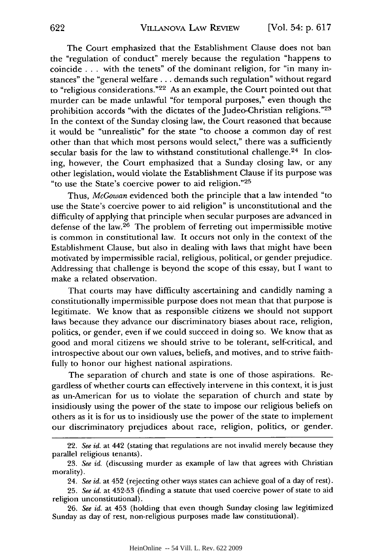The Court emphasized that the Establishment Clause does not ban the "regulation of conduct" merely because the regulation "happens to coincide **...** with the tenets" of the dominant religion, for "in many instances" the "general welfare **...** demands such regulation" without regard to "religious considerations."<sup>22</sup> As an example, the Court pointed out that murder can be made unlawful "for temporal purposes," even though the prohibition accords "with the dictates of the Judeo-Christian religions."<sup>23</sup> In the context of the Sunday closing law, the Court reasoned that because it would be "unrealistic" for the state "to choose a common day of rest other than that which most persons would select," there was a sufficiently secular basis for the law to withstand constitutional challenge. $24$  In closing, however, the Court emphasized that a Sunday closing law, or any other legislation, would violate the Establishment Clause if its purpose was "to use the State's coercive power to aid religion." <sup>25</sup>

Thus, *McGowan* evidenced both the principle that a law intended "to use the State's coercive power to aid religion" is unconstitutional and the difficulty of applying that principle when secular purposes are advanced in defense of the law.26 The problem of ferreting out impermissible motive is common in constitutional law. It occurs not only in the context of the Establishment Clause, but also in dealing with laws that might have been motivated by impermissible racial, religious, political, or gender prejudice. Addressing that challenge is beyond the scope of this essay, but I want to make a related observation.

That courts may have difficulty ascertaining and candidly naming a constitutionally impermissible purpose does not mean that that purpose is legitimate. We know that as responsible citizens we should not support laws because they advance our discriminatory biases about race, religion, politics, or gender, even if we could succeed in doing so. We know that as good and moral citizens we should strive to be tolerant, self-critical, and introspective about our own values, beliefs, and motives, and to strive faithfully to honor our highest national aspirations.

The separation of church and state is one of those aspirations. Regardless of whether courts can effectively intervene in this context, it is just as un-American for us to violate the separation of church and state by insidiously using the power of the state to impose our religious beliefs on others as it is for us to insidiously use the power of the state to implement our discriminatory prejudices about race, religion, politics, or gender.

26. *See id.* at 453 (holding that even though Sunday closing law legitimized Sunday as day of rest, non-religious purposes made law constitutional).

<sup>22.</sup> *See id.* at 442 (stating that regulations are not invalid merely because they parallel religious tenants).

<sup>23.</sup> *See id.* (discussing murder as example of law that agrees with Christian morality).

<sup>24.</sup> *See id.* at 452 (rejecting other ways states can achieve goal of a day of rest).

<sup>25.</sup> *See id.* at 452-53 (finding a statute that used coercive power of state to aid religion unconstitutional).